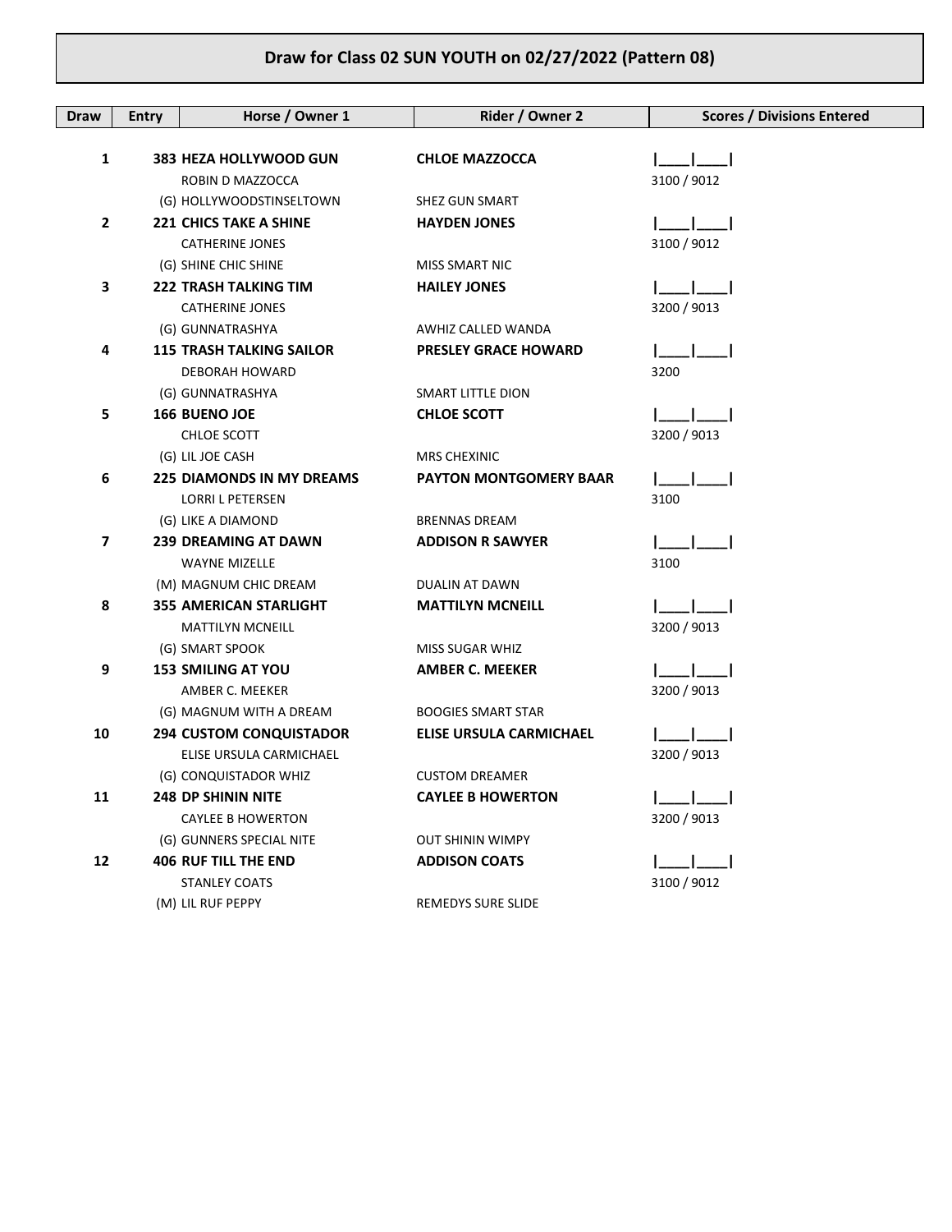## **Draw for Class 02 SUN YOUTH on 02/27/2022 (Pattern 08)**

| Draw           | <b>Entry</b> | Horse / Owner 1                  | Rider / Owner 2                | <b>Scores / Divisions Entered</b> |
|----------------|--------------|----------------------------------|--------------------------------|-----------------------------------|
|                |              |                                  |                                |                                   |
| 1              |              | 383 HEZA HOLLYWOOD GUN           | <b>CHLOE MAZZOCCA</b>          |                                   |
|                |              | ROBIN D MAZZOCCA                 |                                | 3100 / 9012                       |
|                |              | (G) HOLLYWOODSTINSELTOWN         | SHEZ GUN SMART                 |                                   |
| $\mathbf{2}$   |              | <b>221 CHICS TAKE A SHINE</b>    | <b>HAYDEN JONES</b>            |                                   |
|                |              | <b>CATHERINE JONES</b>           |                                | 3100 / 9012                       |
|                |              | (G) SHINE CHIC SHINE             | MISS SMART NIC                 |                                   |
| 3              |              | <b>222 TRASH TALKING TIM</b>     | <b>HAILEY JONES</b>            |                                   |
|                |              | <b>CATHERINE JONES</b>           |                                | 3200 / 9013                       |
|                |              | (G) GUNNATRASHYA                 | AWHIZ CALLED WANDA             |                                   |
| 4              |              | <b>115 TRASH TALKING SAILOR</b>  | <b>PRESLEY GRACE HOWARD</b>    |                                   |
|                |              | DEBORAH HOWARD                   |                                | 3200                              |
|                |              | (G) GUNNATRASHYA                 | SMART LITTLE DION              |                                   |
| 5              |              | <b>166 BUENO JOE</b>             | <b>CHLOE SCOTT</b>             |                                   |
|                |              | CHLOE SCOTT                      |                                | 3200 / 9013                       |
|                |              | (G) LIL JOE CASH                 | <b>MRS CHEXINIC</b>            |                                   |
| 6              |              | <b>225 DIAMONDS IN MY DREAMS</b> | <b>PAYTON MONTGOMERY BAAR</b>  |                                   |
|                |              | <b>LORRI L PETERSEN</b>          |                                | 3100                              |
|                |              | (G) LIKE A DIAMOND               | <b>BRENNAS DREAM</b>           |                                   |
| $\overline{7}$ |              | <b>239 DREAMING AT DAWN</b>      | <b>ADDISON R SAWYER</b>        |                                   |
|                |              | <b>WAYNE MIZELLE</b>             |                                | 3100                              |
|                |              | (M) MAGNUM CHIC DREAM            | DUALIN AT DAWN                 |                                   |
| 8              |              | <b>355 AMERICAN STARLIGHT</b>    | <b>MATTILYN MCNEILL</b>        |                                   |
|                |              | <b>MATTILYN MCNEILL</b>          |                                | 3200 / 9013                       |
|                |              | (G) SMART SPOOK                  | MISS SUGAR WHIZ                |                                   |
| 9              |              | <b>153 SMILING AT YOU</b>        | <b>AMBER C. MEEKER</b>         |                                   |
|                |              | AMBER C. MEEKER                  |                                | 3200 / 9013                       |
|                |              | (G) MAGNUM WITH A DREAM          | <b>BOOGIES SMART STAR</b>      |                                   |
| 10             |              | <b>294 CUSTOM CONQUISTADOR</b>   | <b>ELISE URSULA CARMICHAEL</b> |                                   |
|                |              | ELISE URSULA CARMICHAEL          |                                | 3200 / 9013                       |
|                |              | (G) CONQUISTADOR WHIZ            | <b>CUSTOM DREAMER</b>          |                                   |
| 11             |              | <b>248 DP SHININ NITE</b>        | <b>CAYLEE B HOWERTON</b>       |                                   |
|                |              | <b>CAYLEE B HOWERTON</b>         |                                | 3200 / 9013                       |
|                |              | (G) GUNNERS SPECIAL NITE         | <b>OUT SHININ WIMPY</b>        |                                   |
| 12             |              | <b>406 RUF TILL THE END</b>      | <b>ADDISON COATS</b>           |                                   |
|                |              | <b>STANLEY COATS</b>             |                                | 3100 / 9012                       |
|                |              | (M) LIL RUF PEPPY                | <b>REMEDYS SURE SLIDE</b>      |                                   |